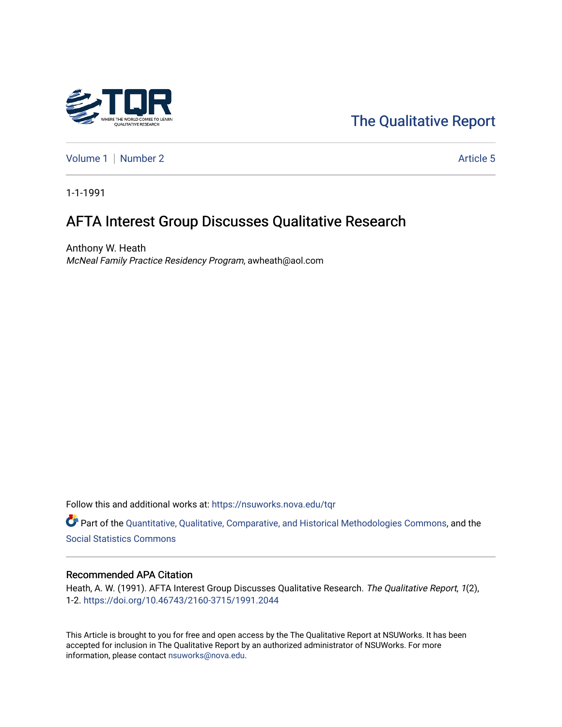

# [The Qualitative Report](https://nsuworks.nova.edu/tqr)

[Volume 1](https://nsuworks.nova.edu/tqr/vol1) | [Number 2](https://nsuworks.nova.edu/tqr/vol1/iss2) Article 5

1-1-1991

# AFTA Interest Group Discusses Qualitative Research

Anthony W. Heath McNeal Family Practice Residency Program, awheath@aol.com

Follow this and additional works at: [https://nsuworks.nova.edu/tqr](https://nsuworks.nova.edu/tqr?utm_source=nsuworks.nova.edu%2Ftqr%2Fvol1%2Fiss2%2F5&utm_medium=PDF&utm_campaign=PDFCoverPages) 

Part of the [Quantitative, Qualitative, Comparative, and Historical Methodologies Commons,](http://network.bepress.com/hgg/discipline/423?utm_source=nsuworks.nova.edu%2Ftqr%2Fvol1%2Fiss2%2F5&utm_medium=PDF&utm_campaign=PDFCoverPages) and the [Social Statistics Commons](http://network.bepress.com/hgg/discipline/1275?utm_source=nsuworks.nova.edu%2Ftqr%2Fvol1%2Fiss2%2F5&utm_medium=PDF&utm_campaign=PDFCoverPages) 

#### Recommended APA Citation

Heath, A. W. (1991). AFTA Interest Group Discusses Qualitative Research. The Qualitative Report, 1(2), 1-2.<https://doi.org/10.46743/2160-3715/1991.2044>

This Article is brought to you for free and open access by the The Qualitative Report at NSUWorks. It has been accepted for inclusion in The Qualitative Report by an authorized administrator of NSUWorks. For more information, please contact [nsuworks@nova.edu.](mailto:nsuworks@nova.edu)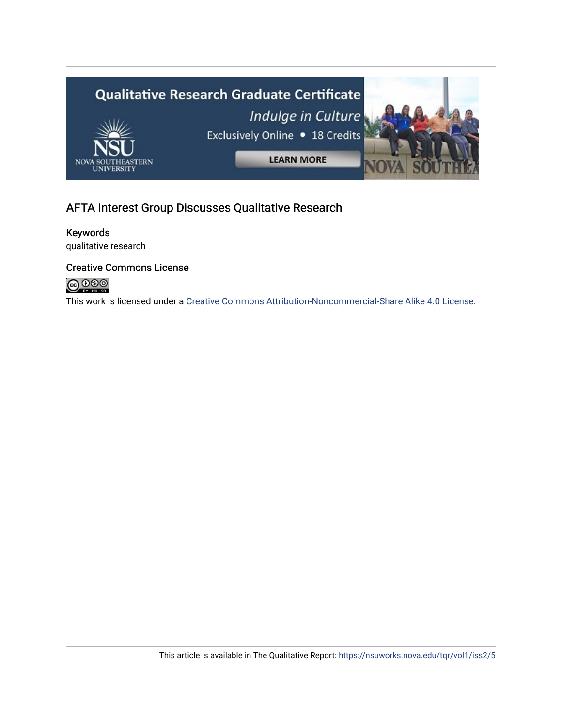

# AFTA Interest Group Discusses Qualitative Research

## Keywords

qualitative research

#### Creative Commons License

![](_page_1_Picture_5.jpeg)

This work is licensed under a [Creative Commons Attribution-Noncommercial-Share Alike 4.0 License](https://creativecommons.org/licenses/by-nc-sa/4.0/).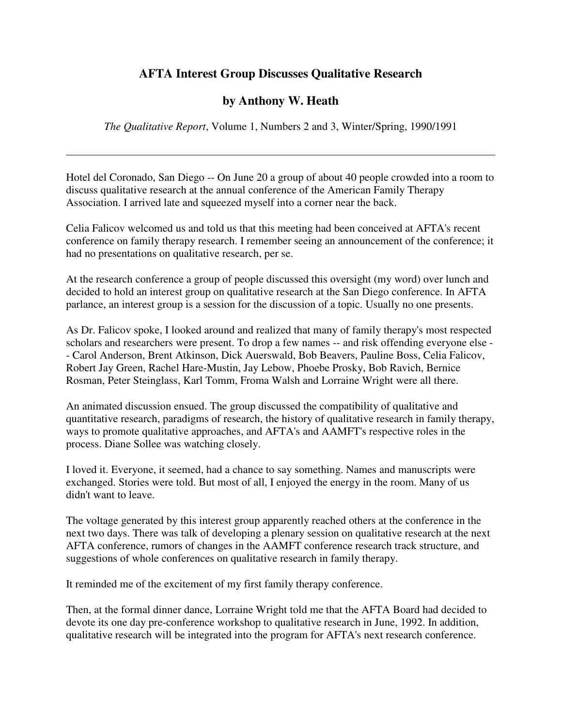### **AFTA Interest Group Discusses Qualitative Research**

## **by Anthony W. Heath**

*The Qualitative Report*, Volume 1, Numbers 2 and 3, Winter/Spring, 1990/1991

Hotel del Coronado, San Diego -- On June 20 a group of about 40 people crowded into a room to discuss qualitative research at the annual conference of the American Family Therapy Association. I arrived late and squeezed myself into a corner near the back.

Celia Falicov welcomed us and told us that this meeting had been conceived at AFTA's recent conference on family therapy research. I remember seeing an announcement of the conference; it had no presentations on qualitative research, per se.

At the research conference a group of people discussed this oversight (my word) over lunch and decided to hold an interest group on qualitative research at the San Diego conference. In AFTA parlance, an interest group is a session for the discussion of a topic. Usually no one presents.

As Dr. Falicov spoke, I looked around and realized that many of family therapy's most respected scholars and researchers were present. To drop a few names -- and risk offending everyone else - - Carol Anderson, Brent Atkinson, Dick Auerswald, Bob Beavers, Pauline Boss, Celia Falicov, Robert Jay Green, Rachel Hare-Mustin, Jay Lebow, Phoebe Prosky, Bob Ravich, Bernice Rosman, Peter Steinglass, Karl Tomm, Froma Walsh and Lorraine Wright were all there.

An animated discussion ensued. The group discussed the compatibility of qualitative and quantitative research, paradigms of research, the history of qualitative research in family therapy, ways to promote qualitative approaches, and AFTA's and AAMFT's respective roles in the process. Diane Sollee was watching closely.

I loved it. Everyone, it seemed, had a chance to say something. Names and manuscripts were exchanged. Stories were told. But most of all, I enjoyed the energy in the room. Many of us didn't want to leave.

The voltage generated by this interest group apparently reached others at the conference in the next two days. There was talk of developing a plenary session on qualitative research at the next AFTA conference, rumors of changes in the AAMFT conference research track structure, and suggestions of whole conferences on qualitative research in family therapy.

It reminded me of the excitement of my first family therapy conference.

Then, at the formal dinner dance, Lorraine Wright told me that the AFTA Board had decided to devote its one day pre-conference workshop to qualitative research in June, 1992. In addition, qualitative research will be integrated into the program for AFTA's next research conference.